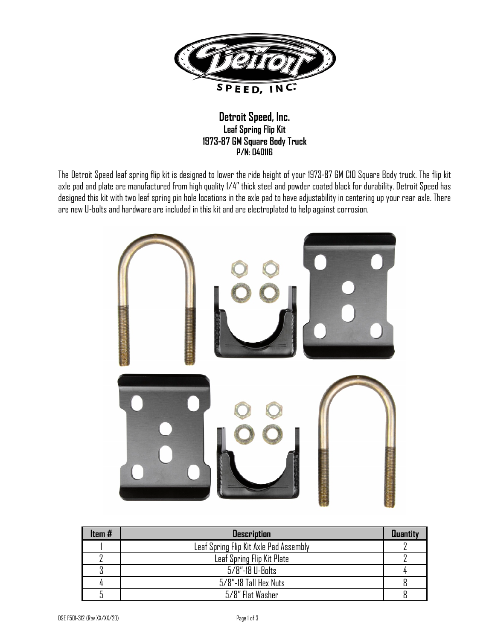

## **Detroit Speed, Inc. Leaf Spring Flip Kit 1973-87 GM Square Body Truck P/N: 040116**

The Detroit Speed leaf spring flip kit is designed to lower the ride height of your 1973-87 GM C10 Square Body truck. The flip kit axle pad and plate are manufactured from high quality 1/4" thick steel and powder coated black for durability. Detroit Speed has designed this kit with two leaf spring pin hole locations in the axle pad to have adjustability in centering up your rear axle. There are new U-bolts and hardware are included in this kit and are electroplated to help against corrosion.



| Item# | <b>Description</b>                     | <b>Quantity</b> |
|-------|----------------------------------------|-----------------|
|       | Leaf Spring Flip Kit Axle Pad Assembly |                 |
|       | Leaf Spring Flip Kit Plate             |                 |
|       | 5/8"-18 U-Bolts                        |                 |
|       | 5/8"-18 Tall Hex Nuts                  |                 |
|       | 5/8" Flat Washer                       |                 |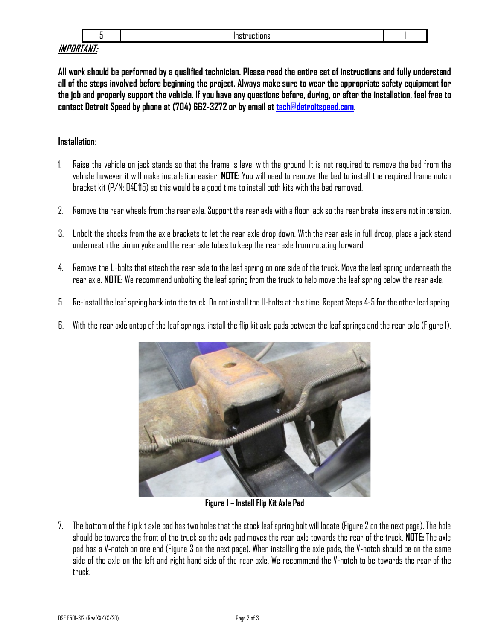## IMPORTANT:

**All work should be performed by a qualified technician. Please read the entire set of instructions and fully understand all of the steps involved before beginning the project. Always make sure to wear the appropriate safety equipment for the job and properly support the vehicle. If you have any questions before, during, or after the installation, feel free to contact Detroit Speed by phone at (704) 662-3272 or by email a[t tech@detroitspeed.com.](mailto:tech@detroitspeed.com)** 

## **Installation**:

- 1. Raise the vehicle on jack stands so that the frame is level with the ground. It is not required to remove the bed from the vehicle however it will make installation easier. **NOTE:** You will need to remove the bed to install the required frame notch bracket kit (P/N: 040115) so this would be a good time to install both kits with the bed removed.
- 2. Remove the rear wheels from the rear axle. Support the rear axle with a floor jack so the rear brake lines are not in tension.
- 3. Unbolt the shocks from the axle brackets to let the rear axle drop down. With the rear axle in full droop, place a jack stand underneath the pinion yoke and the rear axle tubes to keep the rear axle from rotating forward.
- 4. Remove the U-bolts that attach the rear axle to the leaf spring on one side of the truck. Move the leaf springunderneath the rear axle. **NOTE:** We recommend unbolting the leaf spring from the truck to help move the leaf spring below the rear axle.
- 5. Re-install the leaf spring back into the truck. Do not install the U-bolts at this time. Repeat Steps 4-5 for the other leaf spring.
- 6. With the rear axle ontop of the leaf springs, install the flip kit axle pads between the leaf springs and the rear axle (Figure 1).



**Figure 1 – Install Flip Kit Axle Pad**

7. The bottom of the flip kit axle pad has two holes that the stock leaf spring bolt will locate (Figure 2on the next page). The hole should be towards the front of the truck so the axle pad moves the rear axle towards the rear of the truck. **NOTE:** The axle pad has a V-notch on one end (Figure 3 on the next page). When installing the axle pads, the V-notch should be on the same side of the axle on the left and right hand side of the rear axle. We recommend the V-notch to be towards the rear of the truck.